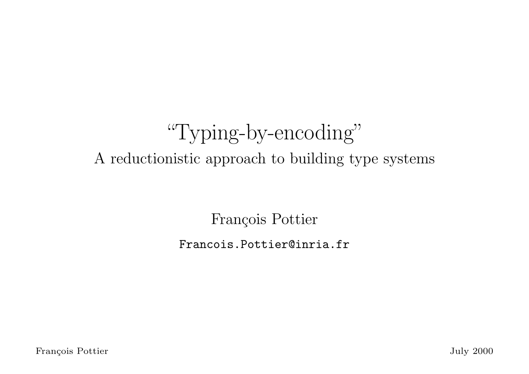# "Typing-by-encoding" A reductionistic approach to building type systems

François Pottier

Francois.Pottier@inria.fr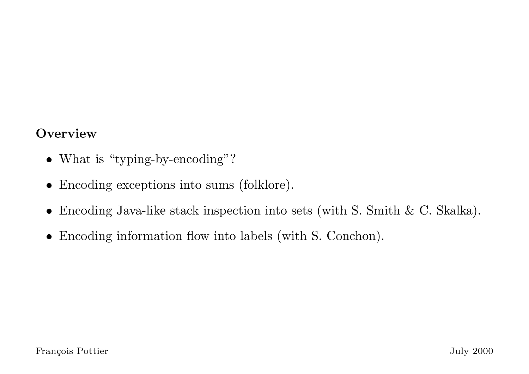#### **Overview**

- What is "typing-by-encoding"?
- Encoding exceptions into sums (folklore).
- Encoding Java-like stack inspection into sets (with S. Smith & C. Skalka).
- Encoding information flow into labels (with S. Conchon).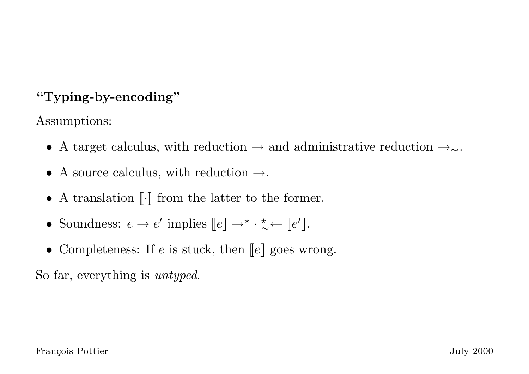# "Typing-by-encoding"

Assumptions:

- A target calculus, with reduction  $\rightarrow$  and administrative reduction  $\rightarrow_{\sim}$ .
- A source calculus, with reduction  $\rightarrow$ .
- A translation  $\lbrack \cdot \rbrack$  from the latter to the former.
- Soundness:  $e \rightarrow e'$  implies  $\llbracket e \rrbracket \rightarrow^{\star} \cdot \frac{\star}{\gamma}$  $\stackrel{\star}{\sim} \leftarrow [e']$ .
- Completeness: If  $e$  is stuck, then  $\llbracket e \rrbracket$  goes wrong.

So far, everything is untyped.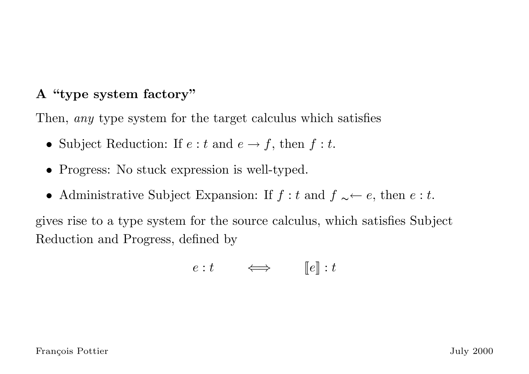### A "type system factory"

Then, *any* type system for the target calculus which satisfies

- Subject Reduction: If  $e : t$  and  $e \rightarrow f$ , then  $f : t$ .
- Progress: No stuck expression is well-typed.
- Administrative Subject Expansion: If  $f : t$  and  $f \sim e$ , then  $e : t$ .

gives rise to a type system for the source calculus, which satisfies Subject Reduction and Progress, defined by

$$
e: t \qquad \Longleftrightarrow \qquad \llbracket e \rrbracket : t
$$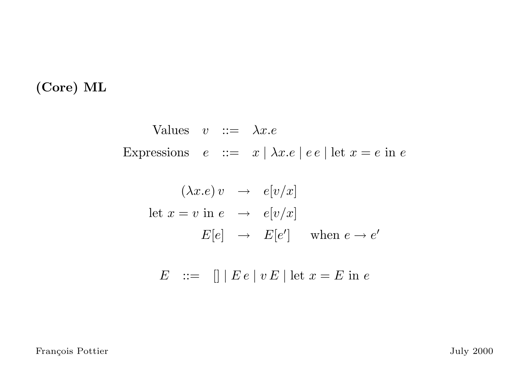# (Core) ML

Values 
$$
v ::= \lambda x.e
$$
  
Expressions  $e ::= x | \lambda x.e | ee | let  $x = e$  in e$ 

$$
(\lambda x.e) v \rightarrow e[v/x]
$$
  
let  $x = v$  in  $e \rightarrow e[v/x]$   

$$
E[e] \rightarrow E[e'] \text{ when } e \rightarrow e'
$$

$$
E \quad ::= \quad [] \mid E e \mid v E \mid \text{let } x = E \text{ in } e
$$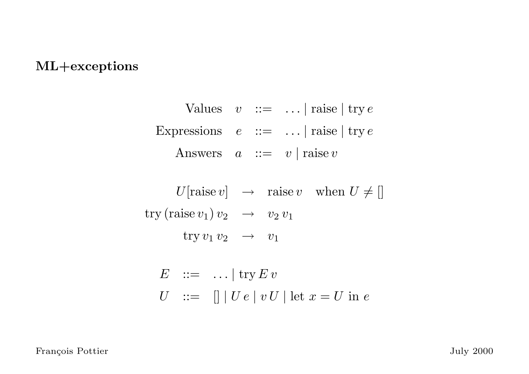#### ML+exceptions

Values  $v ::= ... | \text{ raise} | \text{ try } e$ Expressions  $e ::= ... | \text{ raise} | \text{ try } e$ Answers  $a ::= v | \text{raise } v$  $U[\text{raise } v] \rightarrow \text{raise } v \text{ when } U \neq []$ try (raise  $v_1$ )  $v_2$   $\rightarrow$   $v_2$   $v_1$ try  $v_1 v_2 \rightarrow v_1$  $E$  ::= ... | try  $E v$ 

$$
U \quad ::= \quad [] \mid U \, e \mid v \, U \mid \text{let } x = U \text{ in } e
$$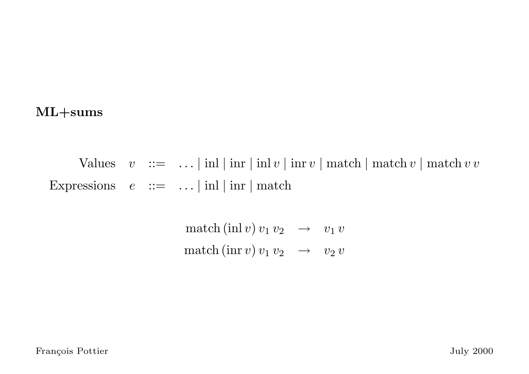#### ML+sums

Values  $v ::= ... | \text{inl} | \text{inr} | \text{inl} v | \text{inr} v | \text{match} | \text{match} v | \text{match} v v$ Expressions  $e ::= ... | \text{inl} | \text{inr} | \text{match}$ 

> $\mathrm{match}\,(\mathrm{inl}\, v) \, v_1\, v_2 \quad\rightarrow\quad v_1\, v_2$  $\mathrm{match}\left(\mathrm{inr}\, v\right)v_1\, v_2 \quad\rightarrow\quad v_2\, v_1$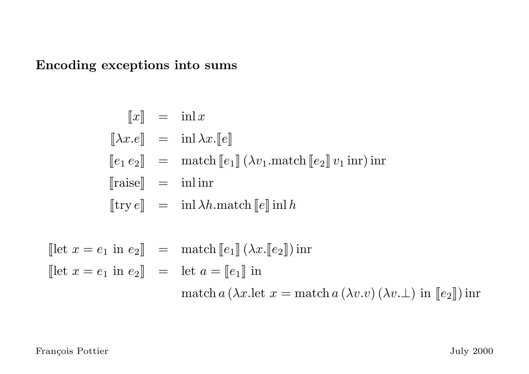Encoding exceptions into sums

$$
\llbracket x \rrbracket = \text{inl} \, x
$$
  

$$
\llbracket \lambda x.e \rrbracket = \text{inl} \, \lambda x.\llbracket e \rrbracket
$$
  

$$
\llbracket e_1 e_2 \rrbracket = \text{match} \llbracket e_1 \rrbracket (\lambda v_1.\text{match} \llbracket e_2 \rrbracket v_1 \text{ inr}) \text{ inr}
$$
  

$$
\llbracket \text{try} \, e \rrbracket = \text{inl} \, \lambda h.\text{match} \llbracket e \rrbracket \text{inl} \, h
$$

$$
\begin{aligned}\n\left[\text{let } x = e_1 \text{ in } e_2\right] &= \text{ match}\left[\![e_1\right]\! \left(\lambda x.\left[\![e_2\right]\! \right)\text{ in} \\
\left[\text{let } x = e_1 \text{ in } e_2\right] &= \text{let } a = \left[\![e_1\right]\! \text{ in} \\
&\text{match } a\left(\lambda x.\text{let } x = \text{match } a\left(\lambda v.v\right)\left(\lambda v.\bot\right) \text{ in } \left[\![e_2\right]\!\right)\text{ in} \\
\end{aligned}
$$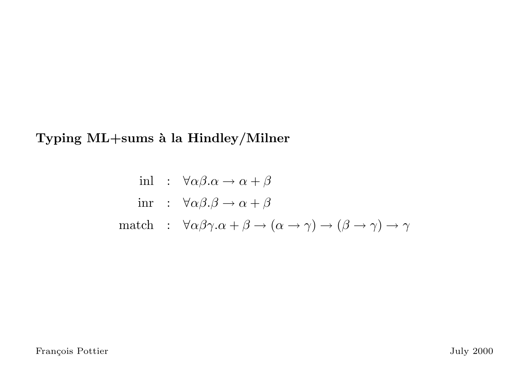Typing ML+sums à la Hindley/Milner

$$
\text{inl} : \forall \alpha \beta. \alpha \to \alpha + \beta
$$
\n
$$
\text{inr} : \forall \alpha \beta. \beta \to \alpha + \beta
$$
\n
$$
\text{match} : \forall \alpha \beta \gamma. \alpha + \beta \to (\alpha \to \gamma) \to (\beta \to \gamma) \to \gamma
$$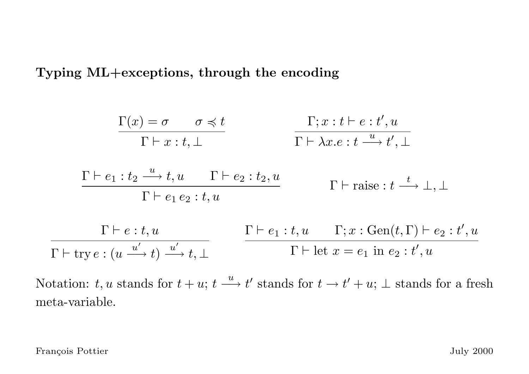Typing ML+exceptions, through the encoding

$$
\frac{\Gamma(x) = \sigma \qquad \sigma \preccurlyeq t}{\Gamma \vdash x : t, \bot} \qquad \qquad \frac{\Gamma; x : t \vdash e : t', u}{\Gamma \vdash \lambda x. e : t \xrightarrow{u} t', \bot}
$$

$$
\frac{\Gamma \vdash e_1 : t_2 \xrightarrow{u} t, u \qquad \Gamma \vdash e_2 : t_2, u}{\Gamma \vdash e_1 e_2 : t, u} \qquad \qquad \Gamma \vdash \text{raise} : t \xrightarrow{t} \bot, \bot
$$

$$
\frac{\Gamma \vdash e:t, u \qquad \Gamma \vdash e_1: t, u \qquad \Gamma; x: \text{Gen}(t, \Gamma) \vdash e_2: t', u}{\Gamma \vdash \text{try } e: (u \xrightarrow{u'} t) \xrightarrow{u'} t, \bot} \qquad \frac{\Gamma \vdash e_1: t, u \qquad \Gamma; x: \text{Gen}(t, \Gamma) \vdash e_2: t', u}{\Gamma \vdash \text{let } x = e_1 \text{ in } e_2: t', u}
$$

Notation: t, u stands for  $t + u$ ;  $t \xrightarrow{u} t'$  stands for  $t \to t' + u$ ;  $\bot$  stands for a fresh meta-variable.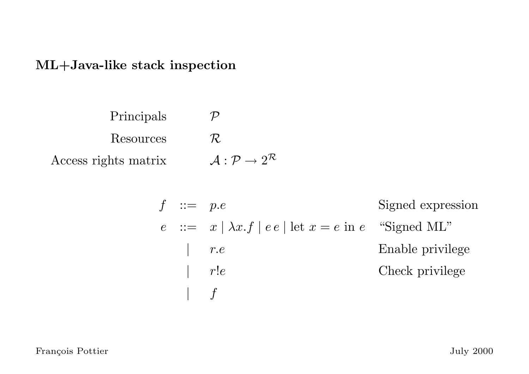#### ML+Java-like stack inspection

Principals  $\mathcal P$ Resources  $\mathcal R$ Access rights matrix  $\mathcal{A}: \mathcal{P} \rightarrow 2^{\mathcal{R}}$ 

| $f$ ::= $p.e$                                                                          | Signal expression    |
|----------------------------------------------------------------------------------------|----------------------|
| $e$ ::= $x \mid \lambda x.f \mid e e \mid \text{let } x = e \text{ in } e$ "Signal ML" |                      |
| $\mid$ $r.e$                                                                           | Enable principle     |
| $\mid$ $r!e$                                                                           | Check, the principle |
| $\mid$ $f$                                                                             | Check                |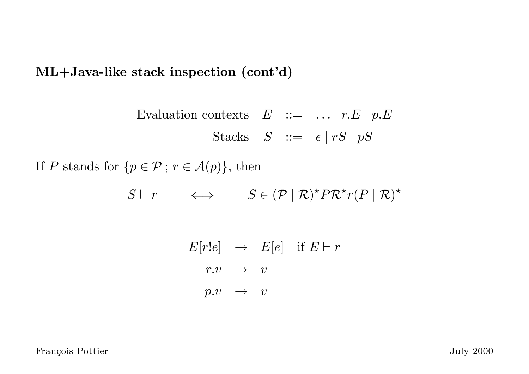ML+Java-like stack inspection (cont'd)

Evaluation contexts  $E ::= ... | r.E | p.E$ Stacks  $S := \epsilon | rS | pS$ 

If P stands for  $\{p \in \mathcal{P} : r \in \mathcal{A}(p)\}\$ , then

 $S \vdash r \iff S \in (\mathcal{P} \mid \mathcal{R})^{\star} P \mathcal{R}^{\star} r (P \mid \mathcal{R})^{\star}$ 

 $E[r!e] \rightarrow E[e]$  if  $E \vdash r$  $r.v \rightarrow v$  $p.v \rightarrow v$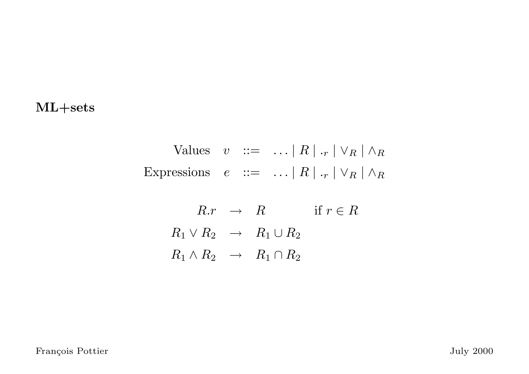#### ML+sets

Values  $v := \ldots |R| \cdot r | \vee_R | \wedge_R$ Expressions  $e ::= \dots |R| \cdot_r | \vee_R | \wedge_R$ 

> $R.r \rightarrow R$  if  $r \in R$  $R_1 \vee R_2 \rightarrow R_1 \cup R_2$  $R_1 \wedge R_2 \rightarrow R_1 \cap R_2$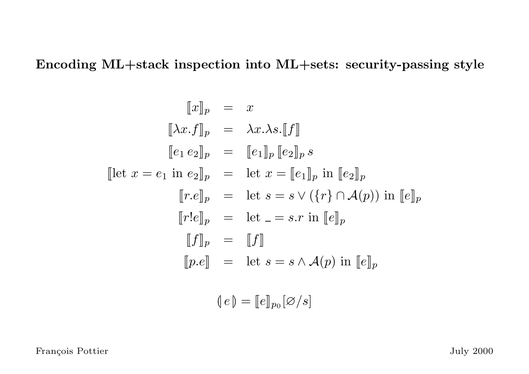Encoding ML+stack inspection into ML+sets: security-passing style

$$
[\![x]\!]_p = x
$$
  
\n
$$
[\![\lambda x.f]\!]_p = \lambda x.\lambda s. [\![f]\!]
$$
  
\n
$$
[\![e_1 e_2]\!]_p = [\![e_1]\!]_p [\![e_2]\!]_p s
$$
  
\n
$$
[\![\] \mathbf{let } x = e_1 \text{ in } e_2]\!]_p = \text{let } x = [\![e_1]\!]_p \text{ in } [\![e_2]\!]_p
$$
  
\n
$$
[\![r.e]\!]_p = \text{let } s = s \vee (\{r\} \cap \mathcal{A}(p)) \text{ in } [\![e]\!]_p
$$
  
\n
$$
[\![f]\!]_p = [\![f]\!]
$$
  
\n
$$
[\![p.e]\!] = \text{let } s = s \wedge \mathcal{A}(p) \text{ in } [\![e]\!]_p
$$
  
\n
$$
[\![e]\!]_p = [\![e]\!]_{p_0} [\varnothing/s]
$$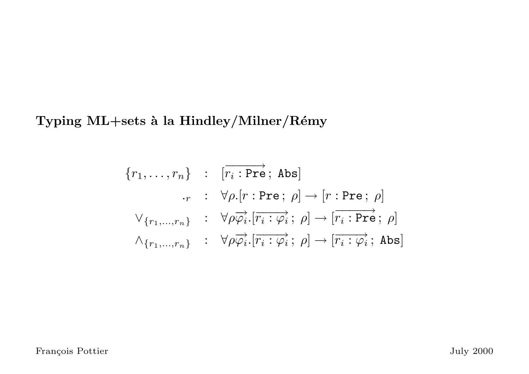Typing ML+sets à la Hindley/Milner/Rémy

$$
\{r_1, \ldots, r_n\} : [\overrightarrow{r_i : \text{Pre}}; \text{Abs}]
$$
  
\n
$$
\cdot_r : \forall \rho . [r : \text{Pre}; \rho] \rightarrow [r : \text{Pre}; \rho]
$$
  
\n
$$
\forall_{\{r_1, \ldots, r_n\}} : \forall \rho \overrightarrow{\varphi_i} . [\overrightarrow{r_i : \varphi_i}; \rho] \rightarrow [\overrightarrow{r_i : \text{Pre}}; \rho]
$$
  
\n
$$
\land_{\{r_1, \ldots, r_n\}} : \forall \rho \overrightarrow{\varphi_i} . [\overrightarrow{r_i : \varphi_i}; \rho] \rightarrow [\overrightarrow{r_i : \varphi_i}; \text{Abs}]
$$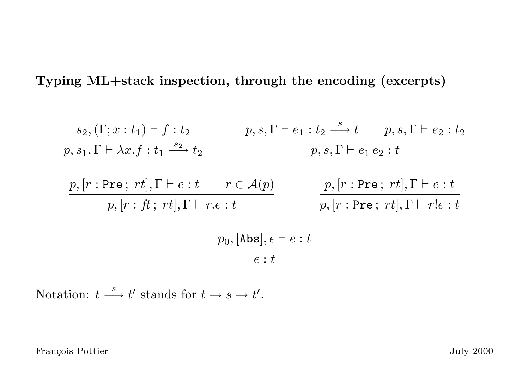Typing ML+stack inspection, through the encoding (excerpts)

$$
s_2, (\Gamma; x : t_1) \vdash f : t_2
$$
\n
$$
p, s_1, \Gamma \vdash \lambda x. f : t_1 \xrightarrow{s_2} t_2
$$
\n
$$
p, s_1 \vdash e_1 : t_2 \xrightarrow{f} t_1 s_2 : t_2 \xrightarrow{f} t_2 s_1
$$
\n
$$
p, s_1 \vdash e_1 e_2 : t
$$
\n
$$
p, [r : \text{Pre}; rt], \Gamma \vdash e : t \xrightarrow{f \in \mathcal{A}(p)} p, [r : \text{Pre}; rt], \Gamma \vdash e : t
$$
\n
$$
p, [r : \text{Pre}; rt], \Gamma \vdash r! e : t
$$
\n
$$
p, [r : \text{Pre}; rt], \Gamma \vdash r! e : t
$$
\n
$$
e : t
$$

Notation:  $t \stackrel{s}{\longrightarrow} t'$  stands for  $t \to s \to t'.$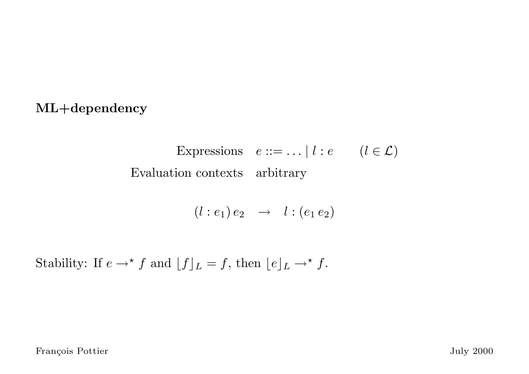#### ML+dependency

Expressions  $e ::= ... | l : e \quad (l \in \mathcal{L})$ Evaluation contexts arbitrary

$$
(l : e_1) e_2 \rightarrow l : (e_1 e_2)
$$

Stability: If  $e \rightarrow^{\star} f$  and  $[f]_L = f$ , then  $[e]_L \rightarrow^{\star} f$ .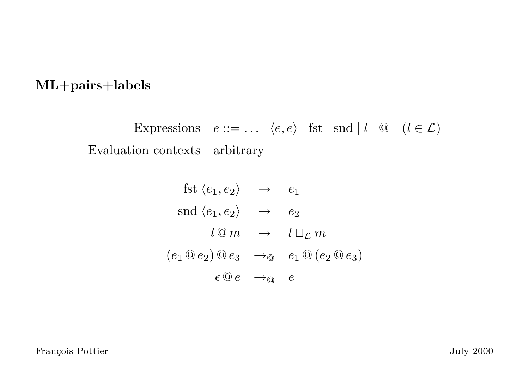#### ML+pairs+labels

Expressions  $e ::= \dots | \langle e, e \rangle |$  fst  $|$  snd  $| l | @ (l \in \mathcal{L})$ Evaluation contexts arbitrary

$$
fst \langle e_1, e_2 \rangle \rightarrow e_1
$$
  
\n
$$
snd \langle e_1, e_2 \rangle \rightarrow e_2
$$
  
\n
$$
l @ m \rightarrow l \sqcup_{\mathcal{L}} m
$$
  
\n
$$
(e_1 @ e_2) @ e_3 \rightarrow_{\textcircled{e}} e_1 @ (e_2 @ e_3)
$$
  
\n
$$
\epsilon @ e \rightarrow_{\textcircled{e}} e
$$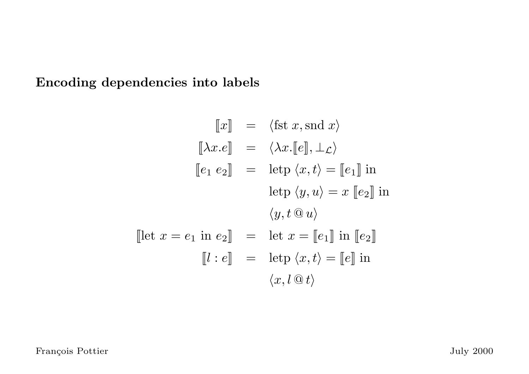## Encoding dependencies into labels

$$
\llbracket x \rrbracket = \langle \text{fst } x, \text{snd } x \rangle
$$

$$
\llbracket \lambda x. e \rrbracket = \langle \lambda x. [e] \rrbracket, \bot_{\mathcal{L}} \rangle
$$

$$
\llbracket e_1 \ e_2 \rrbracket = \text{letp } \langle x, t \rangle = \llbracket e_1 \rrbracket \text{ in}
$$

$$
\text{letp } \langle y, u \rangle = x \llbracket e_2 \rrbracket \text{ in}
$$

$$
\langle y, t \oplus u \rangle
$$

$$
\llbracket \text{let } x = e_1 \text{ in } e_2 \rrbracket = \text{let } x = \llbracket e_1 \rrbracket \text{ in } \llbracket e_2 \rrbracket
$$

$$
\llbracket l : e \rrbracket = \text{letp } \langle x, t \rangle = \llbracket e \rrbracket \text{ in}
$$

$$
\langle x, l \oplus t \rangle
$$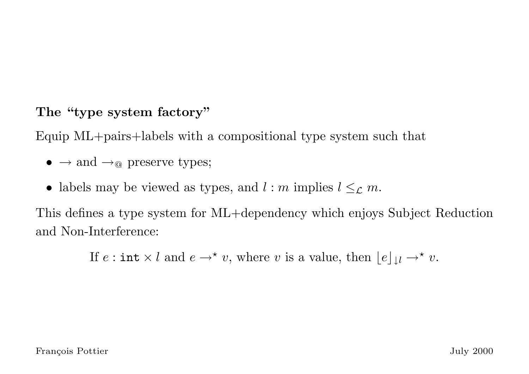## The "type system factory"

Equip ML+pairs+labels with a compositional type system such that

- $\rightarrow$  and  $\rightarrow_{\mathbb{Q}}$  preserve types;
- labels may be viewed as types, and  $l : m$  implies  $l \leq_{\mathcal{L}} m$ .

This defines a type system for ML+dependency which enjoys Subject Reduction and Non-Interference:

If  $e: \text{int} \times l$  and  $e \to^* v$ , where v is a value, then  $\lfloor e \rfloor_{\downarrow} l \to^* v$ .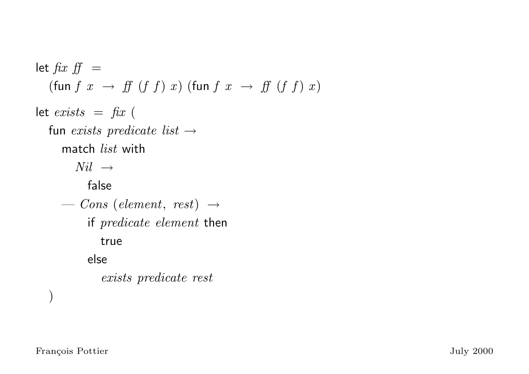let  $\int f x f f =$ (fun  $f(x) \rightarrow ff(f(x))$ ) (fun  $f(x) \rightarrow ff(f(x))$ ) let  $exists = fix ($ fun exists predicate list  $\rightarrow$ match list with  $Nil \rightarrow$ false  $\boldsymbol{\mathrm{---}}$  Cons (element, rest)  $\rightarrow$ if predicate element then true else exists predicate rest )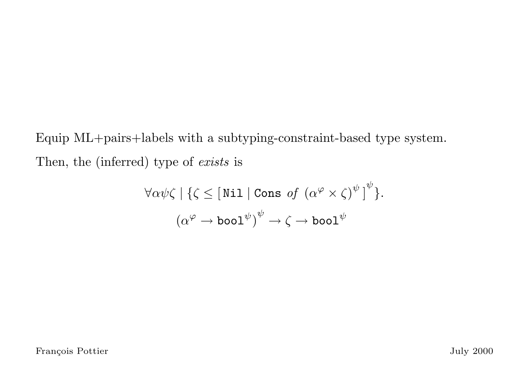Equip ML+pairs+labels with a subtyping-constraint-based type system. Then, the (inferred) type of exists is

$$
\forall \alpha \psi \zeta \mid \{ \zeta \leq \lfloor \text{Nil} \mid \text{Cons of } (\alpha^{\varphi} \times \zeta)^{\psi} \rfloor^{\psi} \}.
$$

$$
(\alpha^{\varphi} \to \text{bool}^{\psi})^{\psi} \to \zeta \to \text{bool}^{\psi}
$$